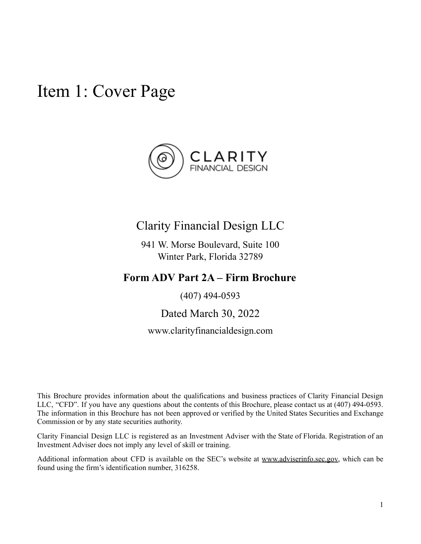<span id="page-0-0"></span>Item 1: Cover Page



## Clarity Financial Design LLC

941 W. Morse Boulevard, Suite 100 Winter Park, Florida 32789

## **Form ADV Part 2A – Firm Brochure**

(407) 494-0593

Dated March 30, 2022

www.clarityfinancialdesign.com

This Brochure provides information about the qualifications and business practices of Clarity Financial Design LLC, "CFD". If you have any questions about the contents of this Brochure, please contact us at (407) 494-0593. The information in this Brochure has not been approved or verified by the United States Securities and Exchange Commission or by any state securities authority.

Clarity Financial Design LLC is registered as an Investment Adviser with the State of Florida. Registration of an Investment Adviser does not imply any level of skill or training.

Additional information about CFD is available on the SEC's website at [www.adviserinfo.sec.gov,](http://www.adviserinfo.sec.gov) which can be found using the firm's identification number, 316258.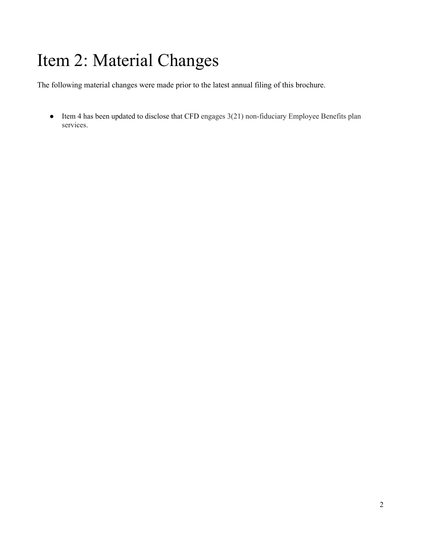# <span id="page-1-0"></span>Item 2: Material Changes

The following material changes were made prior to the latest annual filing of this brochure.

● Item 4 has been updated to disclose that CFD engages 3(21) non-fiduciary Employee Benefits plan services.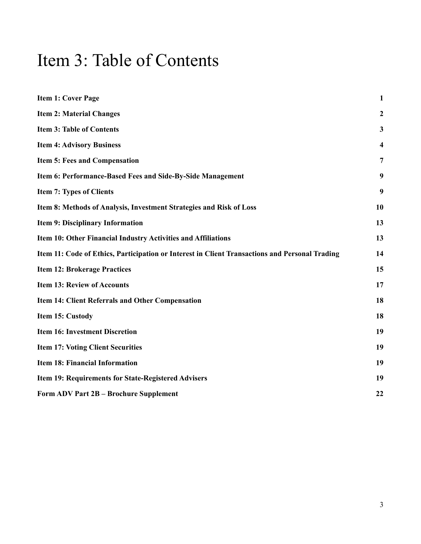## <span id="page-2-0"></span>Item 3: Table of Contents

| <b>Item 1: Cover Page</b>                                                                      | $\mathbf{1}$            |
|------------------------------------------------------------------------------------------------|-------------------------|
| <b>Item 2: Material Changes</b>                                                                | $\mathbf{2}$            |
| <b>Item 3: Table of Contents</b>                                                               | $\mathbf{3}$            |
| <b>Item 4: Advisory Business</b>                                                               | $\overline{\mathbf{4}}$ |
| <b>Item 5: Fees and Compensation</b>                                                           | $\overline{7}$          |
| Item 6: Performance-Based Fees and Side-By-Side Management                                     | 9                       |
| <b>Item 7: Types of Clients</b>                                                                | 9                       |
| Item 8: Methods of Analysis, Investment Strategies and Risk of Loss                            | 10                      |
| <b>Item 9: Disciplinary Information</b>                                                        | 13                      |
| Item 10: Other Financial Industry Activities and Affiliations                                  | 13                      |
| Item 11: Code of Ethics, Participation or Interest in Client Transactions and Personal Trading | 14                      |
| <b>Item 12: Brokerage Practices</b>                                                            | 15                      |
| <b>Item 13: Review of Accounts</b>                                                             | 17                      |
| Item 14: Client Referrals and Other Compensation                                               | 18                      |
| Item 15: Custody                                                                               | 18                      |
| <b>Item 16: Investment Discretion</b>                                                          | 19                      |
| <b>Item 17: Voting Client Securities</b>                                                       | 19                      |
| <b>Item 18: Financial Information</b>                                                          | 19                      |
| <b>Item 19: Requirements for State-Registered Advisers</b>                                     | 19                      |
| Form ADV Part 2B - Brochure Supplement                                                         | 22                      |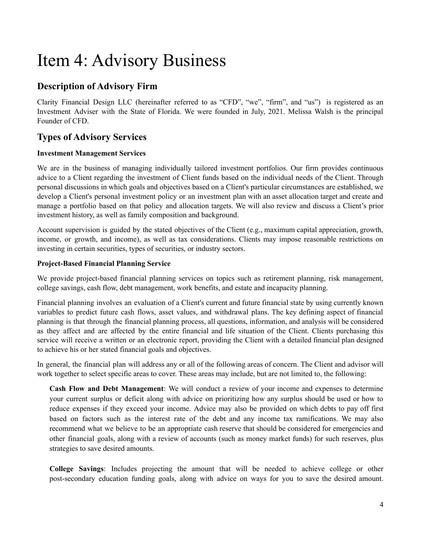## <span id="page-3-0"></span>Item 4: Advisory Business

## **Description of Advisory Firm**

Clarity Financial Design LLC (hereinafter referred to as "CFD", "we", "firm", and "us") is registered as an Investment Adviser with the State of Florida. We were founded in July, 2021. Melissa Walsh is the principal Founder of CFD.

### **Types of Advisory Services**

#### **Investment Management Services**

We are in the business of managing individually tailored investment portfolios. Our firm provides continuous advice to a Client regarding the investment of Client funds based on the individual needs of the Client. Through personal discussions in which goals and objectives based on a Client's particular circumstances are established, we develop a Client's personal investment policy or an investment plan with an asset allocation target and create and manage a portfolio based on that policy and allocation targets. We will also review and discuss a Client's prior investment history, as well as family composition and background.

Account supervision is guided by the stated objectives of the Client (e.g., maximum capital appreciation, growth, income, or growth, and income), as well as tax considerations. Clients may impose reasonable restrictions on investing in certain securities, types of securities, or industry sectors.

#### **Project-Based Financial Planning Service**

We provide project-based financial planning services on topics such as retirement planning, risk management, college savings, cash flow, debt management, work benefits, and estate and incapacity planning.

Financial planning involves an evaluation of a Client's current and future financial state by using currently known variables to predict future cash flows, asset values, and withdrawal plans. The key defining aspect of financial planning is that through the financial planning process, all questions, information, and analysis will be considered as they affect and are affected by the entire financial and life situation of the Client. Clients purchasing this service will receive a written or an electronic report, providing the Client with a detailed financial plan designed to achieve his or her stated financial goals and objectives.

In general, the financial plan will address any or all of the following areas of concern. The Client and advisor will work together to select specific areas to cover. These areas may include, but are not limited to, the following:

**Cash Flow and Debt Management**: We will conduct a review of your income and expenses to determine your current surplus or deficit along with advice on prioritizing how any surplus should be used or how to reduce expenses if they exceed your income. Advice may also be provided on which debts to pay off first based on factors such as the interest rate of the debt and any income tax ramifications. We may also recommend what we believe to be an appropriate cash reserve that should be considered for emergencies and other financial goals, along with a review of accounts (such as money market funds) for such reserves, plus strategies to save desired amounts.

**College Savings**: Includes projecting the amount that will be needed to achieve college or other post-secondary education funding goals, along with advice on ways for you to save the desired amount.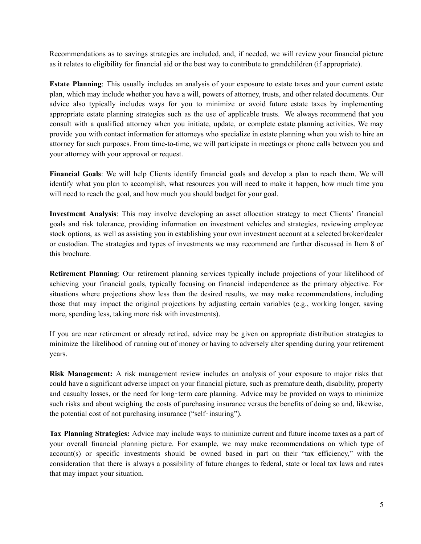Recommendations as to savings strategies are included, and, if needed, we will review your financial picture as it relates to eligibility for financial aid or the best way to contribute to grandchildren (if appropriate).

**Estate Planning**: This usually includes an analysis of your exposure to estate taxes and your current estate plan, which may include whether you have a will, powers of attorney, trusts, and other related documents. Our advice also typically includes ways for you to minimize or avoid future estate taxes by implementing appropriate estate planning strategies such as the use of applicable trusts. We always recommend that you consult with a qualified attorney when you initiate, update, or complete estate planning activities. We may provide you with contact information for attorneys who specialize in estate planning when you wish to hire an attorney for such purposes. From time-to-time, we will participate in meetings or phone calls between you and your attorney with your approval or request.

**Financial Goals**: We will help Clients identify financial goals and develop a plan to reach them. We will identify what you plan to accomplish, what resources you will need to make it happen, how much time you will need to reach the goal, and how much you should budget for your goal.

**Investment Analysis**: This may involve developing an asset allocation strategy to meet Clients' financial goals and risk tolerance, providing information on investment vehicles and strategies, reviewing employee stock options, as well as assisting you in establishing your own investment account at a selected broker/dealer or custodian. The strategies and types of investments we may recommend are further discussed in Item 8 of this brochure.

**Retirement Planning**: Our retirement planning services typically include projections of your likelihood of achieving your financial goals, typically focusing on financial independence as the primary objective. For situations where projections show less than the desired results, we may make recommendations, including those that may impact the original projections by adjusting certain variables (e.g., working longer, saving more, spending less, taking more risk with investments).

If you are near retirement or already retired, advice may be given on appropriate distribution strategies to minimize the likelihood of running out of money or having to adversely alter spending during your retirement years.

**Risk Management:** A risk management review includes an analysis of your exposure to major risks that could have a significant adverse impact on your financial picture, such as premature death, disability, property and casualty losses, or the need for long-term care planning. Advice may be provided on ways to minimize such risks and about weighing the costs of purchasing insurance versus the benefits of doing so and, likewise, the potential cost of not purchasing insurance ("self-insuring").

**Tax Planning Strategies:** Advice may include ways to minimize current and future income taxes as a part of your overall financial planning picture. For example, we may make recommendations on which type of account(s) or specific investments should be owned based in part on their "tax efficiency," with the consideration that there is always a possibility of future changes to federal, state or local tax laws and rates that may impact your situation.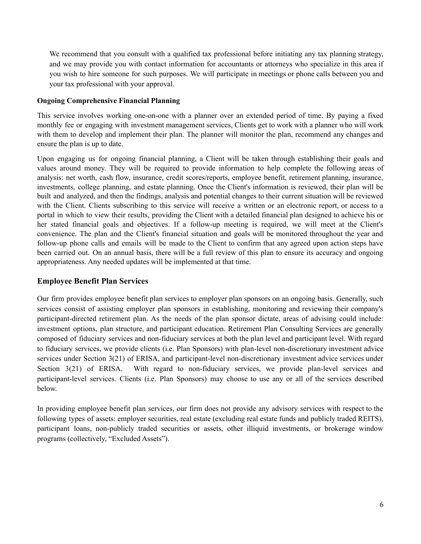We recommend that you consult with a qualified tax professional before initiating any tax planning strategy, and we may provide you with contact information for accountants or attorneys who specialize in this area if you wish to hire someone for such purposes. We will participate in meetings or phone calls between you and your tax professional with your approval.

#### **Ongoing Comprehensive Financial Planning**

This service involves working one-on-one with a planner over an extended period of time. By paying a fixed monthly fee or engaging with investment management services, Clients get to work with a planner who will work with them to develop and implement their plan. The planner will monitor the plan, recommend any changes and ensure the plan is up to date.

Upon engaging us for ongoing financial planning, a Client will be taken through establishing their goals and values around money. They will be required to provide information to help complete the following areas of analysis: net worth, cash flow, insurance, credit scores/reports, employee benefit, retirement planning, insurance, investments, college planning, and estate planning. Once the Client's information is reviewed, their plan will be built and analyzed, and then the findings, analysis and potential changes to their current situation will be reviewed with the Client. Clients subscribing to this service will receive a written or an electronic report, or access to a portal in which to view their results, providing the Client with a detailed financial plan designed to achieve his or her stated financial goals and objectives. If a follow-up meeting is required, we will meet at the Client's convenience. The plan and the Client's financial situation and goals will be monitored throughout the year and follow-up phone calls and emails will be made to the Client to confirm that any agreed upon action steps have been carried out. On an annual basis, there will be a full review of this plan to ensure its accuracy and ongoing appropriateness. Any needed updates will be implemented at that time.

#### **Employee Benefit Plan Services**

Our firm provides employee benefit plan services to employer plan sponsors on an ongoing basis. Generally, such services consist of assisting employer plan sponsors in establishing, monitoring and reviewing their company's participant-directed retirement plan. As the needs of the plan sponsor dictate, areas of advising could include: investment options, plan structure, and participant education. Retirement Plan Consulting Services are generally composed of fiduciary services and non-fiduciary services at both the plan level and participant level. With regard to fiduciary services, we provide clients (i.e. Plan Sponsors) with plan-level non-discretionary investment advice services under Section 3(21) of ERISA, and participant-level non-discretionary investment advice services under Section 3(21) of ERISA. With regard to non-fiduciary services, we provide plan-level services and participant-level services. Clients (i.e. Plan Sponsors) may choose to use any or all of the services described below.

In providing employee benefit plan services, our firm does not provide any advisory services with respect to the following types of assets: employer securities, real estate (excluding real estate funds and publicly traded REITS), participant loans, non-publicly traded securities or assets, other illiquid investments, or brokerage window programs (collectively, "Excluded Assets").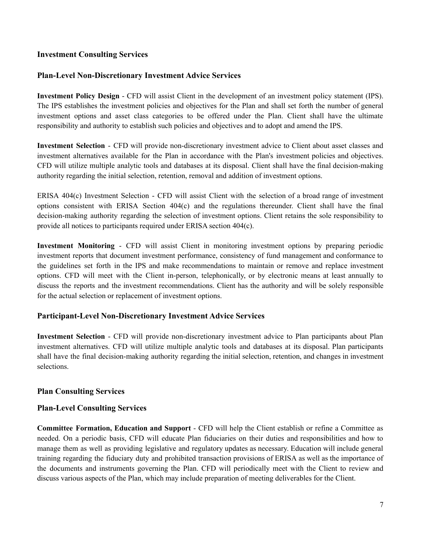#### **Investment Consulting Services**

#### **Plan-Level Non-Discretionary Investment Advice Services**

**Investment Policy Design** - CFD will assist Client in the development of an investment policy statement (IPS). The IPS establishes the investment policies and objectives for the Plan and shall set forth the number of general investment options and asset class categories to be offered under the Plan. Client shall have the ultimate responsibility and authority to establish such policies and objectives and to adopt and amend the IPS.

**Investment Selection** - CFD will provide non-discretionary investment advice to Client about asset classes and investment alternatives available for the Plan in accordance with the Plan's investment policies and objectives. CFD will utilize multiple analytic tools and databases at its disposal. Client shall have the final decision-making authority regarding the initial selection, retention, removal and addition of investment options.

ERISA 404(c) Investment Selection - CFD will assist Client with the selection of a broad range of investment options consistent with ERISA Section 404(c) and the regulations thereunder. Client shall have the final decision-making authority regarding the selection of investment options. Client retains the sole responsibility to provide all notices to participants required under ERISA section 404(c).

**Investment Monitoring** - CFD will assist Client in monitoring investment options by preparing periodic investment reports that document investment performance, consistency of fund management and conformance to the guidelines set forth in the IPS and make recommendations to maintain or remove and replace investment options. CFD will meet with the Client in-person, telephonically, or by electronic means at least annually to discuss the reports and the investment recommendations. Client has the authority and will be solely responsible for the actual selection or replacement of investment options.

#### **Participant-Level Non-Discretionary Investment Advice Services**

**Investment Selection** - CFD will provide non-discretionary investment advice to Plan participants about Plan investment alternatives. CFD will utilize multiple analytic tools and databases at its disposal. Plan participants shall have the final decision-making authority regarding the initial selection, retention, and changes in investment selections.

#### **Plan Consulting Services**

#### **Plan-Level Consulting Services**

**Committee Formation, Education and Support** - CFD will help the Client establish or refine a Committee as needed. On a periodic basis, CFD will educate Plan fiduciaries on their duties and responsibilities and how to manage them as well as providing legislative and regulatory updates as necessary. Education will include general training regarding the fiduciary duty and prohibited transaction provisions of ERISA as well as the importance of the documents and instruments governing the Plan. CFD will periodically meet with the Client to review and discuss various aspects of the Plan, which may include preparation of meeting deliverables for the Client.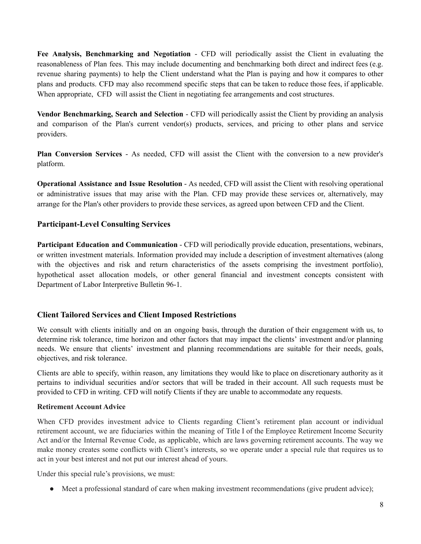**Fee Analysis, Benchmarking and Negotiation** - CFD will periodically assist the Client in evaluating the reasonableness of Plan fees. This may include documenting and benchmarking both direct and indirect fees (e.g. revenue sharing payments) to help the Client understand what the Plan is paying and how it compares to other plans and products. CFD may also recommend specific steps that can be taken to reduce those fees, if applicable. When appropriate. CFD will assist the Client in negotiating fee arrangements and cost structures.

**Vendor Benchmarking, Search and Selection** - CFD will periodically assist the Client by providing an analysis and comparison of the Plan's current vendor(s) products, services, and pricing to other plans and service providers.

**Plan Conversion Services** - As needed, CFD will assist the Client with the conversion to a new provider's platform.

**Operational Assistance and Issue Resolution** - As needed, CFD will assist the Client with resolving operational or administrative issues that may arise with the Plan. CFD may provide these services or, alternatively, may arrange for the Plan's other providers to provide these services, as agreed upon between CFD and the Client.

#### **Participant-Level Consulting Services**

**Participant Education and Communication** - CFD will periodically provide education, presentations, webinars, or written investment materials. Information provided may include a description of investment alternatives (along with the objectives and risk and return characteristics of the assets comprising the investment portfolio), hypothetical asset allocation models, or other general financial and investment concepts consistent with Department of Labor Interpretive Bulletin 96-1.

#### **Client Tailored Services and Client Imposed Restrictions**

We consult with clients initially and on an ongoing basis, through the duration of their engagement with us, to determine risk tolerance, time horizon and other factors that may impact the clients' investment and/or planning needs. We ensure that clients' investment and planning recommendations are suitable for their needs, goals, objectives, and risk tolerance.

Clients are able to specify, within reason, any limitations they would like to place on discretionary authority as it pertains to individual securities and/or sectors that will be traded in their account. All such requests must be provided to CFD in writing. CFD will notify Clients if they are unable to accommodate any requests.

#### **Retirement Account Advice**

When CFD provides investment advice to Clients regarding Client's retirement plan account or individual retirement account, we are fiduciaries within the meaning of Title I of the Employee Retirement Income Security Act and/or the Internal Revenue Code, as applicable, which are laws governing retirement accounts. The way we make money creates some conflicts with Client's interests, so we operate under a special rule that requires us to act in your best interest and not put our interest ahead of yours.

Under this special rule's provisions, we must:

• Meet a professional standard of care when making investment recommendations (give prudent advice);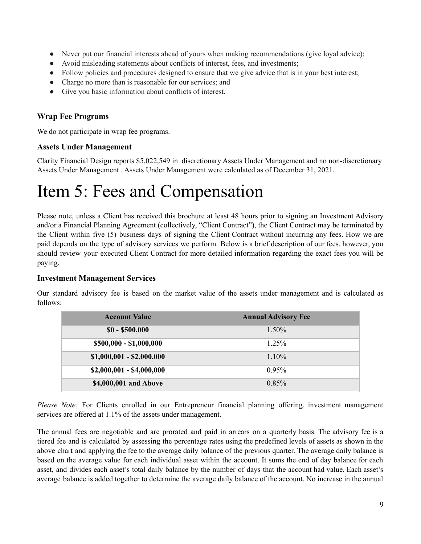- Never put our financial interests ahead of yours when making recommendations (give loyal advice);
- Avoid misleading statements about conflicts of interest, fees, and investments;
- Follow policies and procedures designed to ensure that we give advice that is in your best interest;
- Charge no more than is reasonable for our services; and
- Give you basic information about conflicts of interest.

#### **Wrap Fee Programs**

We do not participate in wrap fee programs.

#### **Assets Under Management**

Clarity Financial Design reports \$5,022,549 in discretionary Assets Under Management and no non-discretionary Assets Under Management . Assets Under Management were calculated as of December 31, 2021.

## <span id="page-8-0"></span>Item 5: Fees and Compensation

Please note, unless a Client has received this brochure at least 48 hours prior to signing an Investment Advisory and/or a Financial Planning Agreement (collectively, "Client Contract"), the Client Contract may be terminated by the Client within five (5) business days of signing the Client Contract without incurring any fees. How we are paid depends on the type of advisory services we perform. Below is a brief description of our fees, however, you should review your executed Client Contract for more detailed information regarding the exact fees you will be paying.

#### **Investment Management Services**

| <b>Account Value</b>      | <b>Annual Advisory Fee</b> |
|---------------------------|----------------------------|
| $$0 - $500,000$           | $1.50\%$                   |
| \$500,000 - \$1,000,000   | $1.25\%$                   |
| $$1,000,001 - $2,000,000$ | $1.10\%$                   |
| $$2,000,001 - $4,000,000$ | 0.95%                      |
| \$4,000,001 and Above     | 0.85%                      |

Our standard advisory fee is based on the market value of the assets under management and is calculated as follows:

*Please Note:* For Clients enrolled in our Entrepreneur financial planning offering, investment management services are offered at 1.1% of the assets under management.

The annual fees are negotiable and are prorated and paid in arrears on a quarterly basis. The advisory fee is a tiered fee and is calculated by assessing the percentage rates using the predefined levels of assets as shown in the above chart and applying the fee to the average daily balance of the previous quarter. The average daily balance is based on the average value for each individual asset within the account. It sums the end of day balance for each asset, and divides each asset's total daily balance by the number of days that the account had value. Each asset's average balance is added together to determine the average daily balance of the account. No increase in the annual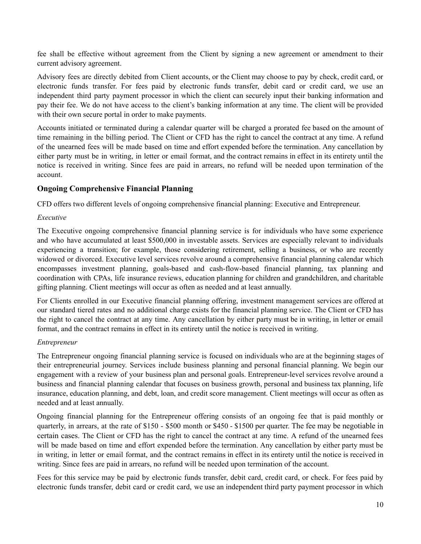fee shall be effective without agreement from the Client by signing a new agreement or amendment to their current advisory agreement.

Advisory fees are directly debited from Client accounts, or the Client may choose to pay by check, credit card, or electronic funds transfer. For fees paid by electronic funds transfer, debit card or credit card, we use an independent third party payment processor in which the client can securely input their banking information and pay their fee. We do not have access to the client's banking information at any time. The client will be provided with their own secure portal in order to make payments.

Accounts initiated or terminated during a calendar quarter will be charged a prorated fee based on the amount of time remaining in the billing period. The Client or CFD has the right to cancel the contract at any time. A refund of the unearned fees will be made based on time and effort expended before the termination. Any cancellation by either party must be in writing, in letter or email format, and the contract remains in effect in its entirety until the notice is received in writing. Since fees are paid in arrears, no refund will be needed upon termination of the account.

#### **Ongoing Comprehensive Financial Planning**

CFD offers two different levels of ongoing comprehensive financial planning: Executive and Entrepreneur.

#### *Executive*

The Executive ongoing comprehensive financial planning service is for individuals who have some experience and who have accumulated at least \$500,000 in investable assets. Services are especially relevant to individuals experiencing a transition; for example, those considering retirement, selling a business, or who are recently widowed or divorced. Executive level services revolve around a comprehensive financial planning calendar which encompasses investment planning, goals-based and cash-flow-based financial planning, tax planning and coordination with CPAs, life insurance reviews, education planning for children and grandchildren, and charitable gifting planning. Client meetings will occur as often as needed and at least annually.

For Clients enrolled in our Executive financial planning offering, investment management services are offered at our standard tiered rates and no additional charge exists for the financial planning service. The Client or CFD has the right to cancel the contract at any time. Any cancellation by either party must be in writing, in letter or email format, and the contract remains in effect in its entirety until the notice is received in writing.

#### *Entrepreneur*

The Entrepreneur ongoing financial planning service is focused on individuals who are at the beginning stages of their entrepreneurial journey. Services include business planning and personal financial planning. We begin our engagement with a review of your business plan and personal goals. Entrepreneur-level services revolve around a business and financial planning calendar that focuses on business growth, personal and business tax planning, life insurance, education planning, and debt, loan, and credit score management. Client meetings will occur as often as needed and at least annually.

Ongoing financial planning for the Entrepreneur offering consists of an ongoing fee that is paid monthly or quarterly, in arrears, at the rate of \$150 - \$500 month or \$450 - \$1500 per quarter. The fee may be negotiable in certain cases. The Client or CFD has the right to cancel the contract at any time. A refund of the unearned fees will be made based on time and effort expended before the termination. Any cancellation by either party must be in writing, in letter or email format, and the contract remains in effect in its entirety until the notice is received in writing. Since fees are paid in arrears, no refund will be needed upon termination of the account.

Fees for this service may be paid by electronic funds transfer, debit card, credit card, or check. For fees paid by electronic funds transfer, debit card or credit card, we use an independent third party payment processor in which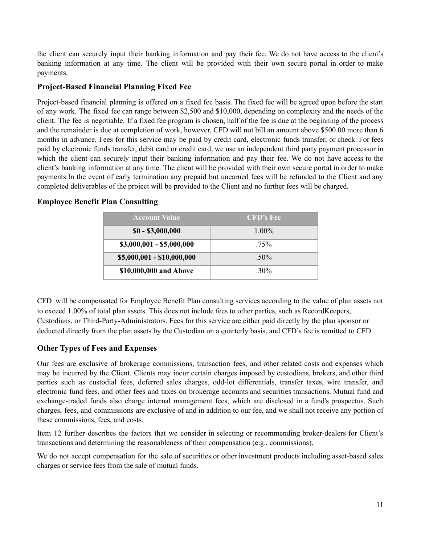the client can securely input their banking information and pay their fee. We do not have access to the client's banking information at any time. The client will be provided with their own secure portal in order to make payments.

#### **Project-Based Financial Planning Fixed Fee**

Project-based financial planning is offered on a fixed fee basis. The fixed fee will be agreed upon before the start of any work. The fixed fee can range between \$2,500 and \$10,000, depending on complexity and the needs of the client. The fee is negotiable. If a fixed fee program is chosen, half of the fee is due at the beginning of the process and the remainder is due at completion of work, however, CFD will not bill an amount above \$500.00 more than 6 months in advance. Fees for this service may be paid by credit card, electronic funds transfer, or check. For fees paid by electronic funds transfer, debit card or credit card, we use an independent third party payment processor in which the client can securely input their banking information and pay their fee. We do not have access to the client's banking information at any time. The client will be provided with their own secure portal in order to make payments.In the event of early termination any prepaid but unearned fees will be refunded to the Client and any completed deliverables of the project will be provided to the Client and no further fees will be charged.

#### **Employee Benefit Plan Consulting**

| <b>Account Value</b>       | <b>CFD's Fee</b> |
|----------------------------|------------------|
| $$0 - $3,000,000$          | $1.00\%$         |
| $$3,000,001 - $5,000,000$  | $.75\%$          |
| \$5,000,001 - \$10,000,000 | $50\%$           |
| \$10,000,000 and Above     | 30%              |

CFD will be compensated for Employee Benefit Plan consulting services according to the value of plan assets not to exceed 1.00% of total plan assets. This does not include fees to other parties, such as RecordKeepers, Custodians, or Third-Party-Administrators. Fees for this service are either paid directly by the plan sponsor or deducted directly from the plan assets by the Custodian on a quarterly basis, and CFD's fee is remitted to CFD.

#### **Other Types of Fees and Expenses**

Our fees are exclusive of brokerage commissions, transaction fees, and other related costs and expenses which may be incurred by the Client. Clients may incur certain charges imposed by custodians, brokers, and other third parties such as custodial fees, deferred sales charges, odd-lot differentials, transfer taxes, wire transfer, and electronic fund fees, and other fees and taxes on brokerage accounts and securities transactions. Mutual fund and exchange-traded funds also charge internal management fees, which are disclosed in a fund's prospectus. Such charges, fees, and commissions are exclusive of and in addition to our fee, and we shall not receive any portion of these commissions, fees, and costs.

Item 12 further describes the factors that we consider in selecting or recommending broker-dealers for Client's transactions and determining the reasonableness of their compensation (e.g., commissions).

We do not accept compensation for the sale of securities or other investment products including asset-based sales charges or service fees from the sale of mutual funds.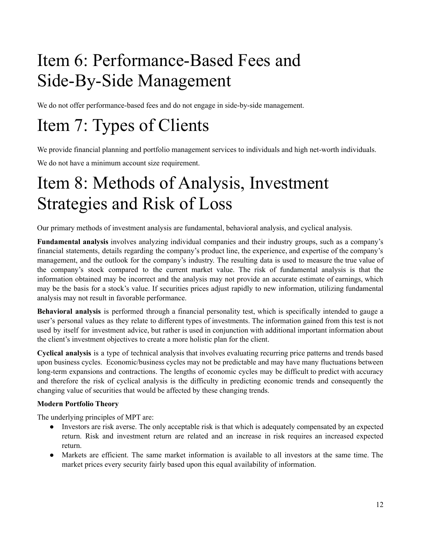# <span id="page-11-0"></span>Item 6: Performance-Based Fees and Side-By-Side Management

We do not offer performance-based fees and do not engage in side-by-side management.

# <span id="page-11-1"></span>Item 7: Types of Clients

We provide financial planning and portfolio management services to individuals and high net-worth individuals.

We do not have a minimum account size requirement.

## <span id="page-11-2"></span>Item 8: Methods of Analysis, Investment Strategies and Risk of Loss

Our primary methods of investment analysis are fundamental, behavioral analysis, and cyclical analysis.

**Fundamental analysis** involves analyzing individual companies and their industry groups, such as a company's financial statements, details regarding the company's product line, the experience, and expertise of the company's management, and the outlook for the company's industry. The resulting data is used to measure the true value of the company's stock compared to the current market value. The risk of fundamental analysis is that the information obtained may be incorrect and the analysis may not provide an accurate estimate of earnings, which may be the basis for a stock's value. If securities prices adjust rapidly to new information, utilizing fundamental analysis may not result in favorable performance.

**Behavioral analysis** is performed through a financial personality test, which is specifically intended to gauge a user's personal values as they relate to different types of investments. The information gained from this test is not used by itself for investment advice, but rather is used in conjunction with additional important information about the client's investment objectives to create a more holistic plan for the client.

**Cyclical analysis** is a type of technical analysis that involves evaluating recurring price patterns and trends based upon business cycles. Economic/business cycles may not be predictable and may have many fluctuations between long-term expansions and contractions. The lengths of economic cycles may be difficult to predict with accuracy and therefore the risk of cyclical analysis is the difficulty in predicting economic trends and consequently the changing value of securities that would be affected by these changing trends.

#### **Modern Portfolio Theory**

The underlying principles of MPT are:

- Investors are risk averse. The only acceptable risk is that which is adequately compensated by an expected return. Risk and investment return are related and an increase in risk requires an increased expected return.
- Markets are efficient. The same market information is available to all investors at the same time. The market prices every security fairly based upon this equal availability of information.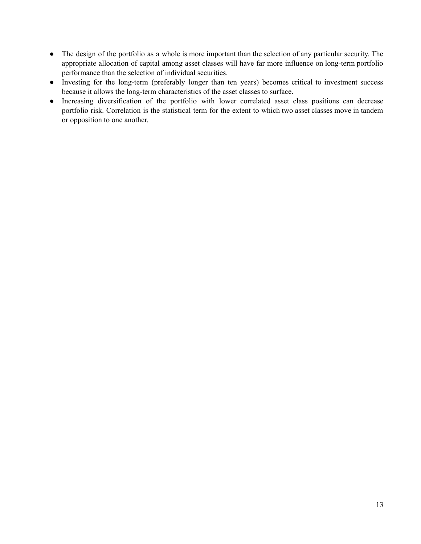- The design of the portfolio as a whole is more important than the selection of any particular security. The appropriate allocation of capital among asset classes will have far more influence on long-term portfolio performance than the selection of individual securities.
- Investing for the long-term (preferably longer than ten years) becomes critical to investment success because it allows the long-term characteristics of the asset classes to surface.
- Increasing diversification of the portfolio with lower correlated asset class positions can decrease portfolio risk. Correlation is the statistical term for the extent to which two asset classes move in tandem or opposition to one another.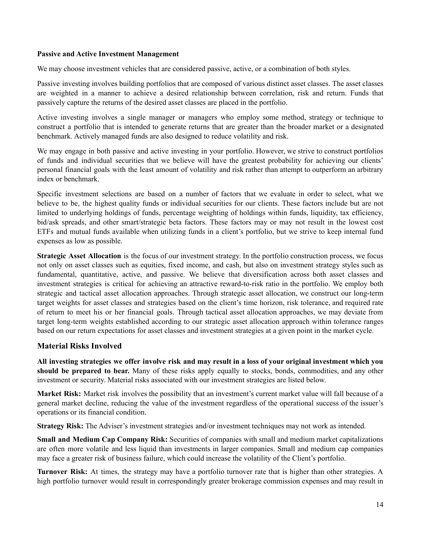#### **Passive and Active Investment Management**

We may choose investment vehicles that are considered passive, active, or a combination of both styles.

Passive investing involves building portfolios that are composed of various distinct asset classes. The asset classes are weighted in a manner to achieve a desired relationship between correlation, risk and return. Funds that passively capture the returns of the desired asset classes are placed in the portfolio.

Active investing involves a single manager or managers who employ some method, strategy or technique to construct a portfolio that is intended to generate returns that are greater than the broader market or a designated benchmark. Actively managed funds are also designed to reduce volatility and risk.

We may engage in both passive and active investing in your portfolio. However, we strive to construct portfolios of funds and individual securities that we believe will have the greatest probability for achieving our clients' personal financial goals with the least amount of volatility and risk rather than attempt to outperform an arbitrary index or benchmark.

Specific investment selections are based on a number of factors that we evaluate in order to select, what we believe to be, the highest quality funds or individual securities for our clients. These factors include but are not limited to underlying holdings of funds, percentage weighting of holdings within funds, liquidity, tax efficiency, bid/ask spreads, and other smart/strategic beta factors. These factors may or may not result in the lowest cost ETFs and mutual funds available when utilizing funds in a client's portfolio, but we strive to keep internal fund expenses as low as possible.

**Strategic Asset Allocation** is the focus of our investment strategy. In the portfolio construction process, we focus not only on asset classes such as equities, fixed income, and cash, but also on investment strategy styles such as fundamental, quantitative, active, and passive. We believe that diversification across both asset classes and investment strategies is critical for achieving an attractive reward-to-risk ratio in the portfolio. We employ both strategic and tactical asset allocation approaches. Through strategic asset allocation, we construct our long-term target weights for asset classes and strategies based on the client's time horizon, risk tolerance, and required rate of return to meet his or her financial goals. Through tactical asset allocation approaches, we may deviate from target long-term weights established according to our strategic asset allocation approach within tolerance ranges based on our return expectations for asset classes and investment strategies at a given point in the market cycle.

#### **Material Risks Involved**

All investing strategies we offer involve risk and may result in a loss of your original investment which you **should be prepared to bear.** Many of these risks apply equally to stocks, bonds, commodities, and any other investment or security. Material risks associated with our investment strategies are listed below.

**Market Risk:** Market risk involves the possibility that an investment's current market value will fall because of a general market decline, reducing the value of the investment regardless of the operational success of the issuer's operations or its financial condition.

**Strategy Risk:** The Adviser's investment strategies and/or investment techniques may not work as intended.

**Small and Medium Cap Company Risk:** Securities of companies with small and medium market capitalizations are often more volatile and less liquid than investments in larger companies. Small and medium cap companies may face a greater risk of business failure, which could increase the volatility of the Client's portfolio.

**Turnover Risk:** At times, the strategy may have a portfolio turnover rate that is higher than other strategies. A high portfolio turnover would result in correspondingly greater brokerage commission expenses and may result in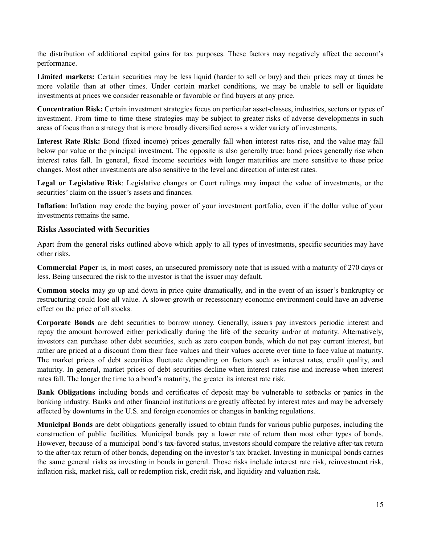the distribution of additional capital gains for tax purposes. These factors may negatively affect the account's performance.

**Limited markets:** Certain securities may be less liquid (harder to sell or buy) and their prices may at times be more volatile than at other times. Under certain market conditions, we may be unable to sell or liquidate investments at prices we consider reasonable or favorable or find buyers at any price.

**Concentration Risk:** Certain investment strategies focus on particular asset-classes, industries, sectors or types of investment. From time to time these strategies may be subject to greater risks of adverse developments in such areas of focus than a strategy that is more broadly diversified across a wider variety of investments.

**Interest Rate Risk:** Bond (fixed income) prices generally fall when interest rates rise, and the value may fall below par value or the principal investment. The opposite is also generally true: bond prices generally rise when interest rates fall. In general, fixed income securities with longer maturities are more sensitive to these price changes. Most other investments are also sensitive to the level and direction of interest rates.

**Legal or Legislative Risk**: Legislative changes or Court rulings may impact the value of investments, or the securities' claim on the issuer's assets and finances.

**Inflation**: Inflation may erode the buying power of your investment portfolio, even if the dollar value of your investments remains the same.

#### **Risks Associated with Securities**

Apart from the general risks outlined above which apply to all types of investments, specific securities may have other risks.

**Commercial Paper** is, in most cases, an unsecured promissory note that is issued with a maturity of 270 days or less. Being unsecured the risk to the investor is that the issuer may default.

**Common stocks** may go up and down in price quite dramatically, and in the event of an issuer's bankruptcy or restructuring could lose all value. A slower-growth or recessionary economic environment could have an adverse effect on the price of all stocks.

**Corporate Bonds** are debt securities to borrow money. Generally, issuers pay investors periodic interest and repay the amount borrowed either periodically during the life of the security and/or at maturity. Alternatively, investors can purchase other debt securities, such as zero coupon bonds, which do not pay current interest, but rather are priced at a discount from their face values and their values accrete over time to face value at maturity. The market prices of debt securities fluctuate depending on factors such as interest rates, credit quality, and maturity. In general, market prices of debt securities decline when interest rates rise and increase when interest rates fall. The longer the time to a bond's maturity, the greater its interest rate risk.

**Bank Obligations** including bonds and certificates of deposit may be vulnerable to setbacks or panics in the banking industry. Banks and other financial institutions are greatly affected by interest rates and may be adversely affected by downturns in the U.S. and foreign economies or changes in banking regulations.

**Municipal Bonds** are debt obligations generally issued to obtain funds for various public purposes, including the construction of public facilities. Municipal bonds pay a lower rate of return than most other types of bonds. However, because of a municipal bond's tax-favored status, investors should compare the relative after-tax return to the after-tax return of other bonds, depending on the investor's tax bracket. Investing in municipal bonds carries the same general risks as investing in bonds in general. Those risks include interest rate risk, reinvestment risk, inflation risk, market risk, call or redemption risk, credit risk, and liquidity and valuation risk.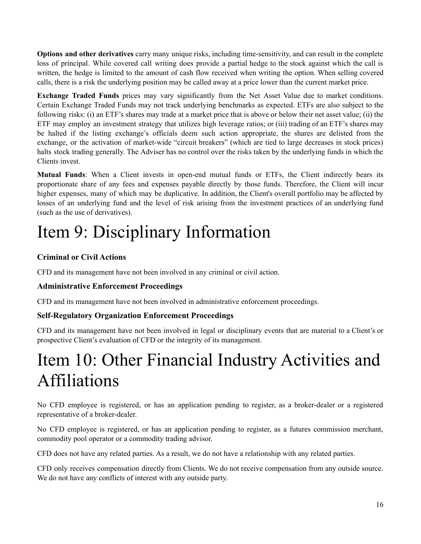**Options and other derivatives** carry many unique risks, including time-sensitivity, and can result in the complete loss of principal. While covered call writing does provide a partial hedge to the stock against which the call is written, the hedge is limited to the amount of cash flow received when writing the option. When selling covered calls, there is a risk the underlying position may be called away at a price lower than the current market price.

**Exchange Traded Funds** prices may vary significantly from the Net Asset Value due to market conditions. Certain Exchange Traded Funds may not track underlying benchmarks as expected. ETFs are also subject to the following risks: (i) an ETF's shares may trade at a market price that is above or below their net asset value; (ii) the ETF may employ an investment strategy that utilizes high leverage ratios; or (iii) trading of an ETF's shares may be halted if the listing exchange's officials deem such action appropriate, the shares are delisted from the exchange, or the activation of market-wide "circuit breakers" (which are tied to large decreases in stock prices) halts stock trading generally. The Adviser has no control over the risks taken by the underlying funds in which the Clients invest.

**Mutual Funds**: When a Client invests in open-end mutual funds or ETFs, the Client indirectly bears its proportionate share of any fees and expenses payable directly by those funds. Therefore, the Client will incur higher expenses, many of which may be duplicative. In addition, the Client's overall portfolio may be affected by losses of an underlying fund and the level of risk arising from the investment practices of an underlying fund (such as the use of derivatives).

## <span id="page-15-0"></span>Item 9: Disciplinary Information

### **Criminal or Civil Actions**

CFD and its management have not been involved in any criminal or civil action.

### **Administrative Enforcement Proceedings**

CFD and its management have not been involved in administrative enforcement proceedings.

### **Self-Regulatory Organization Enforcement Proceedings**

CFD and its management have not been involved in legal or disciplinary events that are material to a Client's or prospective Client's evaluation of CFD or the integrity of its management.

## <span id="page-15-1"></span>Item 10: Other Financial Industry Activities and Affiliations

No CFD employee is registered, or has an application pending to register, as a broker-dealer or a registered representative of a broker-dealer.

No CFD employee is registered, or has an application pending to register, as a futures commission merchant, commodity pool operator or a commodity trading advisor.

CFD does not have any related parties. As a result, we do not have a relationship with any related parties.

CFD only receives compensation directly from Clients. We do not receive compensation from any outside source. We do not have any conflicts of interest with any outside party.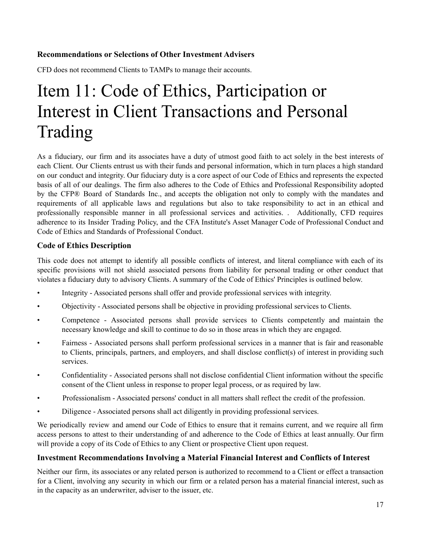#### **Recommendations or Selections of Other Investment Advisers**

CFD does not recommend Clients to TAMPs to manage their accounts.

## Item 11: Code of Ethics, Participation or Interest in Client Transactions and Personal Trading

<span id="page-16-0"></span>As a fiduciary, our firm and its associates have a duty of utmost good faith to act solely in the best interests of each Client. Our Clients entrust us with their funds and personal information, which in turn places a high standard on our conduct and integrity. Our fiduciary duty is a core aspect of our Code of Ethics and represents the expected basis of all of our dealings. The firm also adheres to the Code of Ethics and Professional Responsibility adopted by the CFP® Board of Standards Inc., and accepts the obligation not only to comply with the mandates and requirements of all applicable laws and regulations but also to take responsibility to act in an ethical and professionally responsible manner in all professional services and activities. . Additionally, CFD requires adherence to its Insider Trading Policy, and the CFA Institute's Asset Manager Code of Professional Conduct and Code of Ethics and Standards of Professional Conduct.

#### **Code of Ethics Description**

This code does not attempt to identify all possible conflicts of interest, and literal compliance with each of its specific provisions will not shield associated persons from liability for personal trading or other conduct that violates a fiduciary duty to advisory Clients. A summary of the Code of Ethics' Principles is outlined below.

- Integrity Associated persons shall offer and provide professional services with integrity.
- Objectivity Associated persons shall be objective in providing professional services to Clients.
- Competence Associated persons shall provide services to Clients competently and maintain the necessary knowledge and skill to continue to do so in those areas in which they are engaged.
- Fairness Associated persons shall perform professional services in a manner that is fair and reasonable to Clients, principals, partners, and employers, and shall disclose conflict(s) of interest in providing such services.
- Confidentiality Associated persons shall not disclose confidential Client information without the specific consent of the Client unless in response to proper legal process, or as required by law.
- Professionalism Associated persons' conduct in all matters shall reflect the credit of the profession.
- Diligence Associated persons shall act diligently in providing professional services.

We periodically review and amend our Code of Ethics to ensure that it remains current, and we require all firm access persons to attest to their understanding of and adherence to the Code of Ethics at least annually. Our firm will provide a copy of its Code of Ethics to any Client or prospective Client upon request.

#### **Investment Recommendations Involving a Material Financial Interest and Conflicts of Interest**

Neither our firm, its associates or any related person is authorized to recommend to a Client or effect a transaction for a Client, involving any security in which our firm or a related person has a material financial interest, such as in the capacity as an underwriter, adviser to the issuer, etc.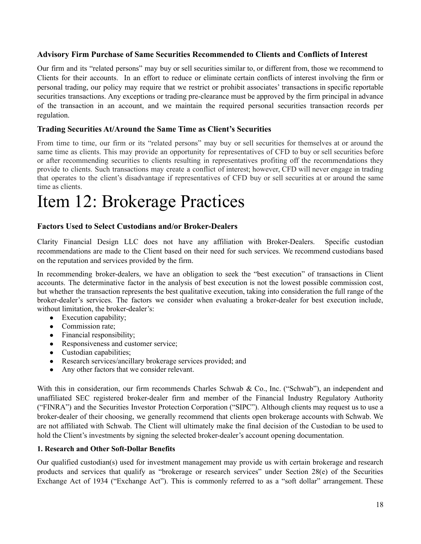#### **Advisory Firm Purchase of Same Securities Recommended to Clients and Conflicts of Interest**

Our firm and its "related persons" may buy or sell securities similar to, or different from, those we recommend to Clients for their accounts. In an effort to reduce or eliminate certain conflicts of interest involving the firm or personal trading, our policy may require that we restrict or prohibit associates' transactions in specific reportable securities transactions. Any exceptions or trading pre-clearance must be approved by the firm principal in advance of the transaction in an account, and we maintain the required personal securities transaction records per regulation.

#### **Trading Securities At/Around the Same Time as Client's Securities**

From time to time, our firm or its "related persons" may buy or sell securities for themselves at or around the same time as clients. This may provide an opportunity for representatives of CFD to buy or sell securities before or after recommending securities to clients resulting in representatives profiting off the recommendations they provide to clients. Such transactions may create a conflict of interest; however, CFD will never engage in trading that operates to the client's disadvantage if representatives of CFD buy or sell securities at or around the same time as clients.

## <span id="page-17-0"></span>Item 12: Brokerage Practices

#### **Factors Used to Select Custodians and/or Broker-Dealers**

Clarity Financial Design LLC does not have any affiliation with Broker-Dealers. Specific custodian recommendations are made to the Client based on their need for such services. We recommend custodians based on the reputation and services provided by the firm.

In recommending broker-dealers, we have an obligation to seek the "best execution" of transactions in Client accounts. The determinative factor in the analysis of best execution is not the lowest possible commission cost, but whether the transaction represents the best qualitative execution, taking into consideration the full range of the broker-dealer's services. The factors we consider when evaluating a broker-dealer for best execution include, without limitation, the broker-dealer's:

- Execution capability;
- Commission rate;
- Financial responsibility;
- Responsiveness and customer service;
- Custodian capabilities;
- Research services/ancillary brokerage services provided; and
- Any other factors that we consider relevant.

With this in consideration, our firm recommends Charles Schwab & Co., Inc. ("Schwab"), an independent and unaffiliated SEC registered broker-dealer firm and member of the Financial Industry Regulatory Authority ("FINRA") and the Securities Investor Protection Corporation ("SIPC"). Although clients may request us to use a broker-dealer of their choosing, we generally recommend that clients open brokerage accounts with Schwab. We are not affiliated with Schwab. The Client will ultimately make the final decision of the Custodian to be used to hold the Client's investments by signing the selected broker-dealer's account opening documentation.

#### **1. Research and Other Soft-Dollar Benefits**

Our qualified custodian(s) used for investment management may provide us with certain brokerage and research products and services that qualify as "brokerage or research services" under Section 28(e) of the Securities Exchange Act of 1934 ("Exchange Act"). This is commonly referred to as a "soft dollar" arrangement. These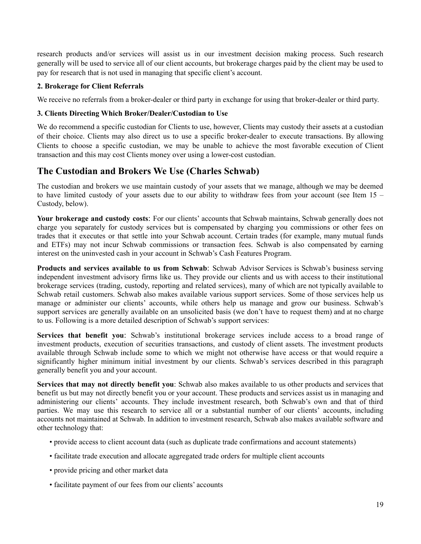research products and/or services will assist us in our investment decision making process. Such research generally will be used to service all of our client accounts, but brokerage charges paid by the client may be used to pay for research that is not used in managing that specific client's account.

#### **2. Brokerage for Client Referrals**

We receive no referrals from a broker-dealer or third party in exchange for using that broker-dealer or third party.

#### **3. Clients Directing Which Broker/Dealer/Custodian to Use**

We do recommend a specific custodian for Clients to use, however, Clients may custody their assets at a custodian of their choice. Clients may also direct us to use a specific broker-dealer to execute transactions. By allowing Clients to choose a specific custodian, we may be unable to achieve the most favorable execution of Client transaction and this may cost Clients money over using a lower-cost custodian.

### **The Custodian and Brokers We Use (Charles Schwab)**

The custodian and brokers we use maintain custody of your assets that we manage, although we may be deemed to have limited custody of your assets due to our ability to withdraw fees from your account (see Item 15 – Custody, below).

**Your brokerage and custody costs**: For our clients' accounts that Schwab maintains, Schwab generally does not charge you separately for custody services but is compensated by charging you commissions or other fees on trades that it executes or that settle into your Schwab account. Certain trades (for example, many mutual funds and ETFs) may not incur Schwab commissions or transaction fees. Schwab is also compensated by earning interest on the uninvested cash in your account in Schwab's Cash Features Program.

**Products and services available to us from Schwab**: Schwab Advisor Services is Schwab's business serving independent investment advisory firms like us. They provide our clients and us with access to their institutional brokerage services (trading, custody, reporting and related services), many of which are not typically available to Schwab retail customers. Schwab also makes available various support services. Some of those services help us manage or administer our clients' accounts, while others help us manage and grow our business. Schwab's support services are generally available on an unsolicited basis (we don't have to request them) and at no charge to us. Following is a more detailed description of Schwab's support services:

**Services that benefit you**: Schwab's institutional brokerage services include access to a broad range of investment products, execution of securities transactions, and custody of client assets. The investment products available through Schwab include some to which we might not otherwise have access or that would require a significantly higher minimum initial investment by our clients. Schwab's services described in this paragraph generally benefit you and your account.

**Services that may not directly benefit you**: Schwab also makes available to us other products and services that benefit us but may not directly benefit you or your account. These products and services assist us in managing and administering our clients' accounts. They include investment research, both Schwab's own and that of third parties. We may use this research to service all or a substantial number of our clients' accounts, including accounts not maintained at Schwab. In addition to investment research, Schwab also makes available software and other technology that:

- provide access to client account data (such as duplicate trade confirmations and account statements)
- facilitate trade execution and allocate aggregated trade orders for multiple client accounts
- provide pricing and other market data
- facilitate payment of our fees from our clients' accounts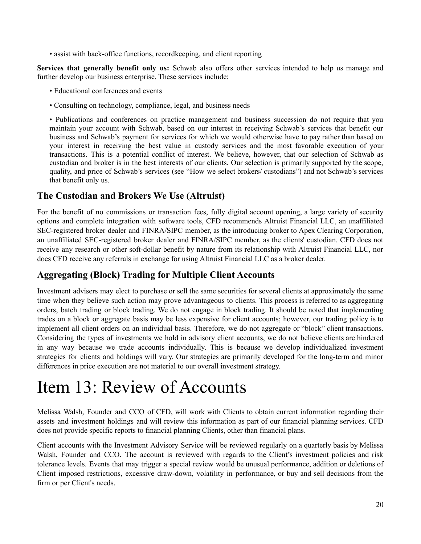• assist with back-office functions, recordkeeping, and client reporting

**Services that generally benefit only us:** Schwab also offers other services intended to help us manage and further develop our business enterprise. These services include:

- Educational conferences and events
- Consulting on technology, compliance, legal, and business needs

• Publications and conferences on practice management and business succession do not require that you maintain your account with Schwab, based on our interest in receiving Schwab's services that benefit our business and Schwab's payment for services for which we would otherwise have to pay rather than based on your interest in receiving the best value in custody services and the most favorable execution of your transactions. This is a potential conflict of interest. We believe, however, that our selection of Schwab as custodian and broker is in the best interests of our clients. Our selection is primarily supported by the scope, quality, and price of Schwab's services (see "How we select brokers/ custodians") and not Schwab's services that benefit only us.

### **The Custodian and Brokers We Use (Altruist)**

For the benefit of no commissions or transaction fees, fully digital account opening, a large variety of security options and complete integration with software tools, CFD recommends Altruist Financial LLC, an unaffiliated SEC-registered broker dealer and FINRA/SIPC member, as the introducing broker to Apex Clearing Corporation, an unaffiliated SEC-registered broker dealer and FINRA/SIPC member, as the clients' custodian. CFD does not receive any research or other soft-dollar benefit by nature from its relationship with Altruist Financial LLC, nor does CFD receive any referrals in exchange for using Altruist Financial LLC as a broker dealer.

### **Aggregating (Block) Trading for Multiple Client Accounts**

Investment advisers may elect to purchase or sell the same securities for several clients at approximately the same time when they believe such action may prove advantageous to clients. This process is referred to as aggregating orders, batch trading or block trading. We do not engage in block trading. It should be noted that implementing trades on a block or aggregate basis may be less expensive for client accounts; however, our trading policy is to implement all client orders on an individual basis. Therefore, we do not aggregate or "block" client transactions. Considering the types of investments we hold in advisory client accounts, we do not believe clients are hindered in any way because we trade accounts individually. This is because we develop individualized investment strategies for clients and holdings will vary. Our strategies are primarily developed for the long-term and minor differences in price execution are not material to our overall investment strategy.

## <span id="page-19-0"></span>Item 13: Review of Accounts

Melissa Walsh, Founder and CCO of CFD, will work with Clients to obtain current information regarding their assets and investment holdings and will review this information as part of our financial planning services. CFD does not provide specific reports to financial planning Clients, other than financial plans.

Client accounts with the Investment Advisory Service will be reviewed regularly on a quarterly basis by Melissa Walsh, Founder and CCO. The account is reviewed with regards to the Client's investment policies and risk tolerance levels. Events that may trigger a special review would be unusual performance, addition or deletions of Client imposed restrictions, excessive draw-down, volatility in performance, or buy and sell decisions from the firm or per Client's needs.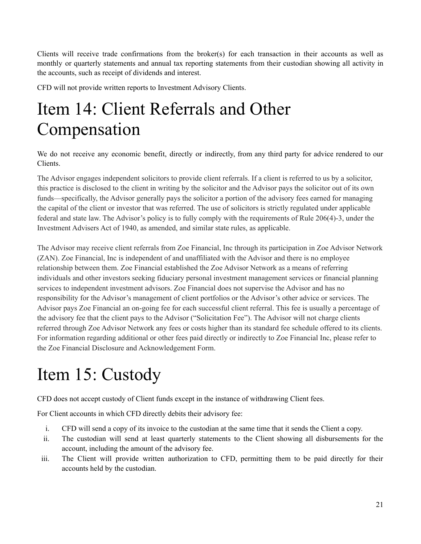Clients will receive trade confirmations from the broker(s) for each transaction in their accounts as well as monthly or quarterly statements and annual tax reporting statements from their custodian showing all activity in the accounts, such as receipt of dividends and interest.

CFD will not provide written reports to Investment Advisory Clients.

## <span id="page-20-0"></span>Item 14: Client Referrals and Other Compensation

We do not receive any economic benefit, directly or indirectly, from any third party for advice rendered to our Clients.

The Advisor engages independent solicitors to provide client referrals. If a client is referred to us by a solicitor, this practice is disclosed to the client in writing by the solicitor and the Advisor pays the solicitor out of its own funds—specifically, the Advisor generally pays the solicitor a portion of the advisory fees earned for managing the capital of the client or investor that was referred. The use of solicitors is strictly regulated under applicable federal and state law. The Advisor's policy is to fully comply with the requirements of Rule 206(4)-3, under the Investment Advisers Act of 1940, as amended, and similar state rules, as applicable.

The Advisor may receive client referrals from Zoe Financial, Inc through its participation in Zoe Advisor Network (ZAN). Zoe Financial, Inc is independent of and unaffiliated with the Advisor and there is no employee relationship between them. Zoe Financial established the Zoe Advisor Network as a means of referring individuals and other investors seeking fiduciary personal investment management services or financial planning services to independent investment advisors. Zoe Financial does not supervise the Advisor and has no responsibility for the Advisor's management of client portfolios or the Advisor's other advice or services. The Advisor pays Zoe Financial an on-going fee for each successful client referral. This fee is usually a percentage of the advisory fee that the client pays to the Advisor ("Solicitation Fee"). The Advisor will not charge clients referred through Zoe Advisor Network any fees or costs higher than its standard fee schedule offered to its clients. For information regarding additional or other fees paid directly or indirectly to Zoe Financial Inc, please refer to the Zoe Financial Disclosure and Acknowledgement Form.

# <span id="page-20-1"></span>Item 15: Custody

CFD does not accept custody of Client funds except in the instance of withdrawing Client fees.

For Client accounts in which CFD directly debits their advisory fee:

- i. CFD will send a copy of its invoice to the custodian at the same time that it sends the Client a copy.
- ii. The custodian will send at least quarterly statements to the Client showing all disbursements for the account, including the amount of the advisory fee.
- iii. The Client will provide written authorization to CFD, permitting them to be paid directly for their accounts held by the custodian.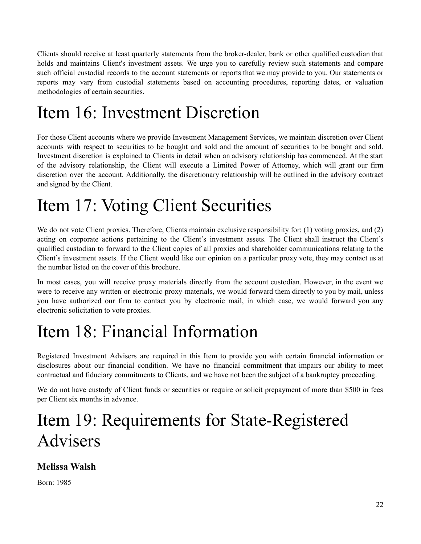Clients should receive at least quarterly statements from the broker-dealer, bank or other qualified custodian that holds and maintains Client's investment assets. We urge you to carefully review such statements and compare such official custodial records to the account statements or reports that we may provide to you. Our statements or reports may vary from custodial statements based on accounting procedures, reporting dates, or valuation methodologies of certain securities.

# <span id="page-21-0"></span>Item 16: Investment Discretion

For those Client accounts where we provide Investment Management Services, we maintain discretion over Client accounts with respect to securities to be bought and sold and the amount of securities to be bought and sold. Investment discretion is explained to Clients in detail when an advisory relationship has commenced. At the start of the advisory relationship, the Client will execute a Limited Power of Attorney, which will grant our firm discretion over the account. Additionally, the discretionary relationship will be outlined in the advisory contract and signed by the Client.

## <span id="page-21-1"></span>Item 17: Voting Client Securities

We do not vote Client proxies. Therefore, Clients maintain exclusive responsibility for: (1) voting proxies, and (2) acting on corporate actions pertaining to the Client's investment assets. The Client shall instruct the Client's qualified custodian to forward to the Client copies of all proxies and shareholder communications relating to the Client's investment assets. If the Client would like our opinion on a particular proxy vote, they may contact us at the number listed on the cover of this brochure.

In most cases, you will receive proxy materials directly from the account custodian. However, in the event we were to receive any written or electronic proxy materials, we would forward them directly to you by mail, unless you have authorized our firm to contact you by electronic mail, in which case, we would forward you any electronic solicitation to vote proxies.

# <span id="page-21-2"></span>Item 18: Financial Information

Registered Investment Advisers are required in this Item to provide you with certain financial information or disclosures about our financial condition. We have no financial commitment that impairs our ability to meet contractual and fiduciary commitments to Clients, and we have not been the subject of a bankruptcy proceeding.

We do not have custody of Client funds or securities or require or solicit prepayment of more than \$500 in fees per Client six months in advance.

## <span id="page-21-3"></span>Item 19: Requirements for State-Registered Advisers

## **Melissa Walsh**

Born: 1985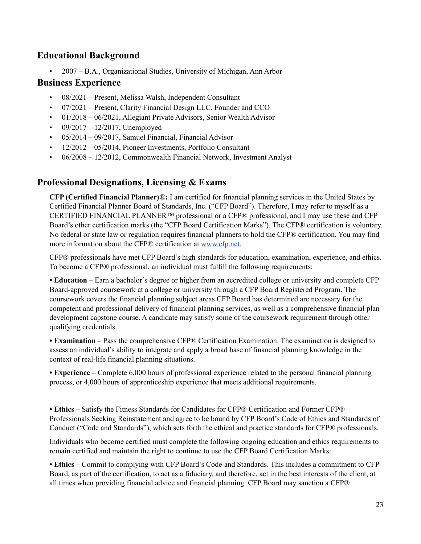### **Educational Background**

• 2007 – B.A., Organizational Studies, University of Michigan, Ann Arbor

### **Business Experience**

- 08/2021 Present, Melissa Walsh, Independent Consultant
- 07/2021 Present, Clarity Financial Design LLC, Founder and CCO
- 01/2018 06/2021, Allegiant Private Advisors, Senior Wealth Advisor
- $09/2017 12/2017$ , Unemployed
- 05/2014 09/2017, Samuel Financial, Financial Advisor
- 12/2012 05/2014, Pioneer Investments, Portfolio Consultant
- 06/2008 12/2012, Commonwealth Financial Network, Investment Analyst

### **Professional Designations, Licensing & Exams**

**CFP (Certified Financial Planner)**®**:** I am certified for financial planning services in the United States by Certified Financial Planner Board of Standards, Inc. ("CFP Board"). Therefore, I may refer to myself as a CERTIFIED FINANCIAL PLANNER™ professional or a CFP® professional, and I may use these and CFP Board's other certification marks (the "CFP Board Certification Marks"). The CFP® certification is voluntary. No federal or state law or regulation requires financial planners to hold the CFP® certification. You may find more information about the CFP® certification at [www.cfp.net.](http://www.cfp.net)

CFP® professionals have met CFP Board's high standards for education, examination, experience, and ethics. To become a CFP® professional, an individual must fulfill the following requirements:

**• Education** – Earn a bachelor's degree or higher from an accredited college or university and complete CFP Board-approved coursework at a college or university through a CFP Board Registered Program. The coursework covers the financial planning subject areas CFP Board has determined are necessary for the competent and professional delivery of financial planning services, as well as a comprehensive financial plan development capstone course. A candidate may satisfy some of the coursework requirement through other qualifying credentials.

**• Examination** – Pass the comprehensive CFP® Certification Examination. The examination is designed to assess an individual's ability to integrate and apply a broad base of financial planning knowledge in the context of real-life financial planning situations.

**• Experience** – Complete 6,000 hours of professional experience related to the personal financial planning process, or 4,000 hours of apprenticeship experience that meets additional requirements.

**• Ethics** – Satisfy the Fitness Standards for Candidates for CFP® Certification and Former CFP® Professionals Seeking Reinstatement and agree to be bound by CFP Board's Code of Ethics and Standards of Conduct ("Code and Standards"), which sets forth the ethical and practice standards for CFP® professionals.

Individuals who become certified must complete the following ongoing education and ethics requirements to remain certified and maintain the right to continue to use the CFP Board Certification Marks:

**• Ethics** – Commit to complying with CFP Board's Code and Standards. This includes a commitment to CFP Board, as part of the certification, to act as a fiduciary, and therefore, act in the best interests of the client, at all times when providing financial advice and financial planning. CFP Board may sanction a CFP®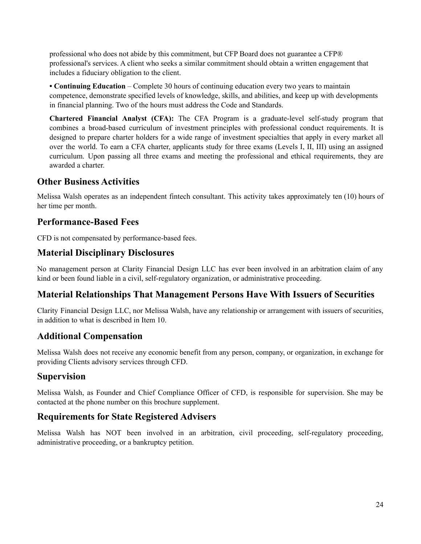professional who does not abide by this commitment, but CFP Board does not guarantee a CFP® professional's services. A client who seeks a similar commitment should obtain a written engagement that includes a fiduciary obligation to the client.

**• Continuing Education** – Complete 30 hours of continuing education every two years to maintain competence, demonstrate specified levels of knowledge, skills, and abilities, and keep up with developments in financial planning. Two of the hours must address the Code and Standards.

**Chartered Financial Analyst (CFA):** The CFA Program is a graduate-level self-study program that combines a broad-based curriculum of investment principles with professional conduct requirements. It is designed to prepare charter holders for a wide range of investment specialties that apply in every market all over the world. To earn a CFA charter, applicants study for three exams (Levels I, II, III) using an assigned curriculum. Upon passing all three exams and meeting the professional and ethical requirements, they are awarded a charter

### **Other Business Activities**

Melissa Walsh operates as an independent fintech consultant. This activity takes approximately ten (10) hours of her time per month.

### **Performance-Based Fees**

CFD is not compensated by performance-based fees.

### **Material Disciplinary Disclosures**

No management person at Clarity Financial Design LLC has ever been involved in an arbitration claim of any kind or been found liable in a civil, self-regulatory organization, or administrative proceeding.

### **Material Relationships That Management Persons Have With Issuers of Securities**

Clarity Financial Design LLC, nor Melissa Walsh, have any relationship or arrangement with issuers of securities, in addition to what is described in Item 10.

### **Additional Compensation**

Melissa Walsh does not receive any economic benefit from any person, company, or organization, in exchange for providing Clients advisory services through CFD.

### **Supervision**

Melissa Walsh, as Founder and Chief Compliance Officer of CFD, is responsible for supervision. She may be contacted at the phone number on this brochure supplement.

### **Requirements for State Registered Advisers**

Melissa Walsh has NOT been involved in an arbitration, civil proceeding, self-regulatory proceeding, administrative proceeding, or a bankruptcy petition.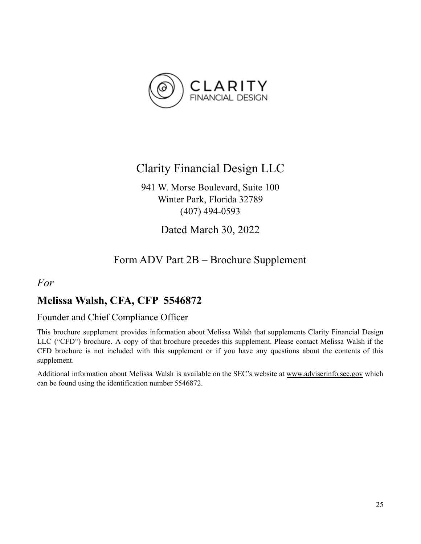

## Clarity Financial Design LLC

941 W. Morse Boulevard, Suite 100 Winter Park, Florida 32789 (407) 494-0593

Dated March 30, 2022

## Form ADV Part 2B – Brochure Supplement

### <span id="page-24-0"></span>*For*

## **Melissa Walsh, CFA, CFP 5546872**

### Founder and Chief Compliance Officer

This brochure supplement provides information about Melissa Walsh that supplements Clarity Financial Design LLC ("CFD") brochure. A copy of that brochure precedes this supplement. Please contact Melissa Walsh if the CFD brochure is not included with this supplement or if you have any questions about the contents of this supplement.

Additional information about Melissa Walsh is available on the SEC's website at [www.adviserinfo.sec.gov](http://www.adviserinfo.sec.gov) which can be found using the identification number 5546872.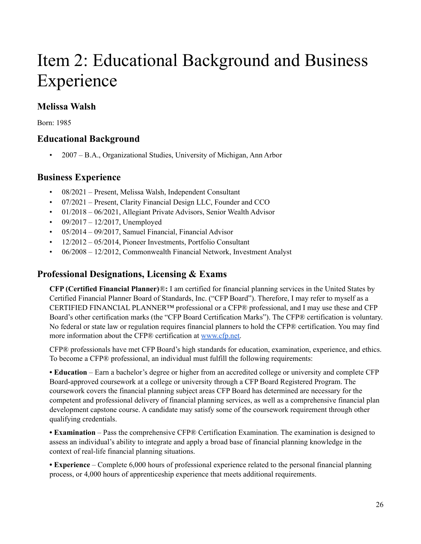## Item 2: Educational Background and Business Experience

## **Melissa Walsh**

Born: 1985

### **Educational Background**

• 2007 – B.A., Organizational Studies, University of Michigan, Ann Arbor

### **Business Experience**

- 08/2021 Present, Melissa Walsh, Independent Consultant
- 07/2021 Present, Clarity Financial Design LLC, Founder and CCO
- 01/2018 06/2021, Allegiant Private Advisors, Senior Wealth Advisor
- $09/2017 12/2017$ , Unemployed
- 05/2014 09/2017, Samuel Financial, Financial Advisor
- 12/2012 05/2014, Pioneer Investments, Portfolio Consultant
- 06/2008 12/2012, Commonwealth Financial Network, Investment Analyst

### **Professional Designations, Licensing & Exams**

**CFP (Certified Financial Planner)**®**:** I am certified for financial planning services in the United States by Certified Financial Planner Board of Standards, Inc. ("CFP Board"). Therefore, I may refer to myself as a CERTIFIED FINANCIAL PLANNER™ professional or a CFP® professional, and I may use these and CFP Board's other certification marks (the "CFP Board Certification Marks"). The CFP® certification is voluntary. No federal or state law or regulation requires financial planners to hold the CFP® certification. You may find more information about the CFP® certification at [www.cfp.net.](http://www.cfp.net)

CFP® professionals have met CFP Board's high standards for education, examination, experience, and ethics. To become a CFP® professional, an individual must fulfill the following requirements:

**• Education** – Earn a bachelor's degree or higher from an accredited college or university and complete CFP Board-approved coursework at a college or university through a CFP Board Registered Program. The coursework covers the financial planning subject areas CFP Board has determined are necessary for the competent and professional delivery of financial planning services, as well as a comprehensive financial plan development capstone course. A candidate may satisfy some of the coursework requirement through other qualifying credentials.

**• Examination** – Pass the comprehensive CFP® Certification Examination. The examination is designed to assess an individual's ability to integrate and apply a broad base of financial planning knowledge in the context of real-life financial planning situations.

**• Experience** – Complete 6,000 hours of professional experience related to the personal financial planning process, or 4,000 hours of apprenticeship experience that meets additional requirements.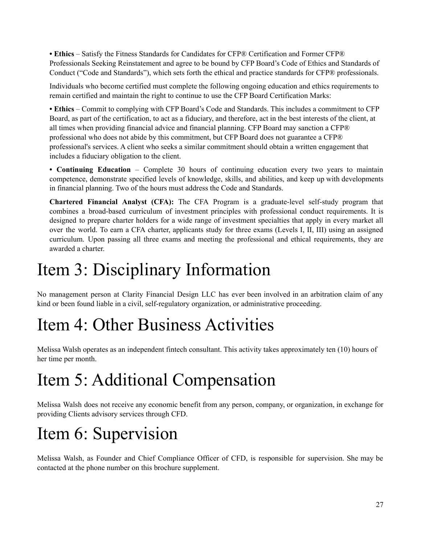• **Ethics** – Satisfy the Fitness Standards for Candidates for CFP® Certification and Former CFP® Professionals Seeking Reinstatement and agree to be bound by CFP Board's Code of Ethics and Standards of Conduct ("Code and Standards"), which sets forth the ethical and practice standards for CFP® professionals.

Individuals who become certified must complete the following ongoing education and ethics requirements to remain certified and maintain the right to continue to use the CFP Board Certification Marks:

**• Ethics** – Commit to complying with CFP Board's Code and Standards. This includes a commitment to CFP Board, as part of the certification, to act as a fiduciary, and therefore, act in the best interests of the client, at all times when providing financial advice and financial planning. CFP Board may sanction a CFP® professional who does not abide by this commitment, but CFP Board does not guarantee a CFP® professional's services. A client who seeks a similar commitment should obtain a written engagement that includes a fiduciary obligation to the client.

**• Continuing Education** – Complete 30 hours of continuing education every two years to maintain competence, demonstrate specified levels of knowledge, skills, and abilities, and keep up with developments in financial planning. Two of the hours must address the Code and Standards.

**Chartered Financial Analyst (CFA):** The CFA Program is a graduate-level self-study program that combines a broad-based curriculum of investment principles with professional conduct requirements. It is designed to prepare charter holders for a wide range of investment specialties that apply in every market all over the world. To earn a CFA charter, applicants study for three exams (Levels I, II, III) using an assigned curriculum. Upon passing all three exams and meeting the professional and ethical requirements, they are awarded a charter.

# Item 3: Disciplinary Information

No management person at Clarity Financial Design LLC has ever been involved in an arbitration claim of any kind or been found liable in a civil, self-regulatory organization, or administrative proceeding.

# Item 4: Other Business Activities

Melissa Walsh operates as an independent fintech consultant. This activity takes approximately ten (10) hours of her time per month.

# Item 5: Additional Compensation

Melissa Walsh does not receive any economic benefit from any person, company, or organization, in exchange for providing Clients advisory services through CFD.

# Item 6: Supervision

Melissa Walsh, as Founder and Chief Compliance Officer of CFD, is responsible for supervision. She may be contacted at the phone number on this brochure supplement.